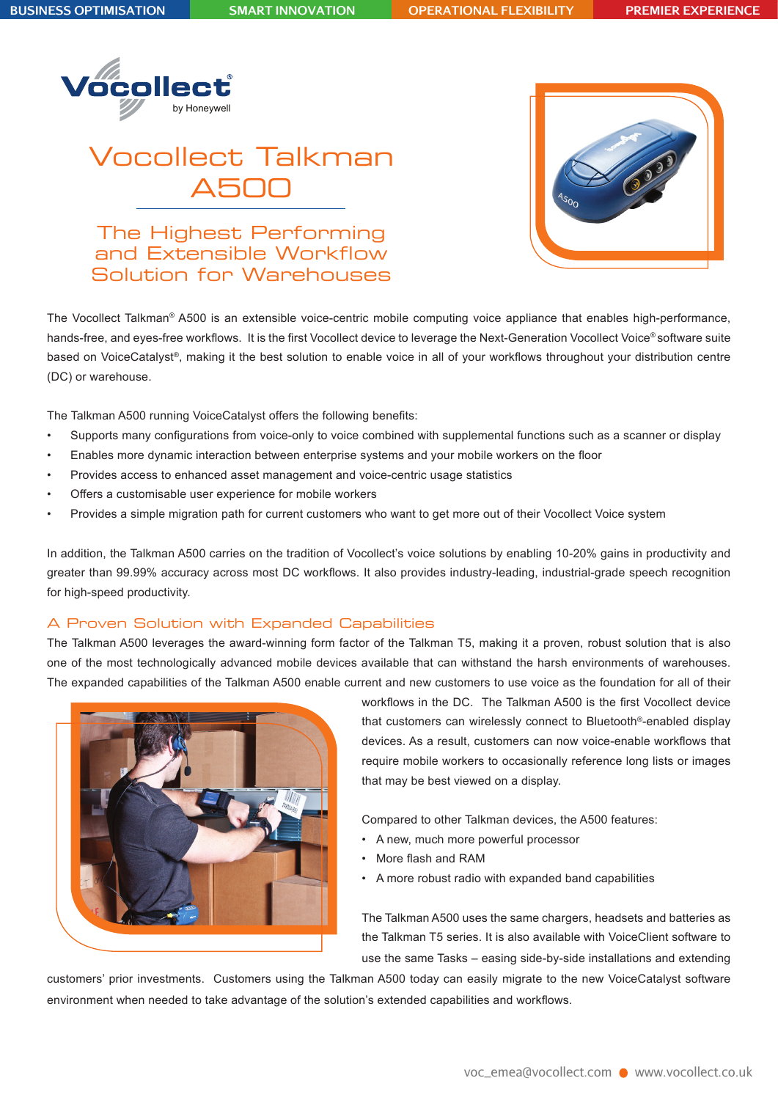

# Vocollect Talkman A500

The Highest Performing and Extensible Workflow Solution for Warehouses



The Vocollect Talkman® A500 is an extensible voice-centric mobile computing voice appliance that enables high-performance, hands-free, and eyes-free workflows. It is the first Vocollect device to leverage the Next-Generation Vocollect Voice® software suite based on VoiceCatalyst®, making it the best solution to enable voice in all of your workflows throughout your distribution centre (DC) or warehouse.

The Talkman A500 running VoiceCatalyst offers the following benefits:

- Supports many configurations from voice-only to voice combined with supplemental functions such as a scanner or display
- Enables more dynamic interaction between enterprise systems and your mobile workers on the floor
- Provides access to enhanced asset management and voice-centric usage statistics
- Offers a customisable user experience for mobile workers
- Provides a simple migration path for current customers who want to get more out of their Vocollect Voice system

In addition, the Talkman A500 carries on the tradition of Vocollect's voice solutions by enabling 10-20% gains in productivity and greater than 99.99% accuracy across most DC workflows. It also provides industry-leading, industrial-grade speech recognition for high-speed productivity.

#### A Proven Solution with Expanded Capabilities

The Talkman A500 leverages the award-winning form factor of the Talkman T5, making it a proven, robust solution that is also one of the most technologically advanced mobile devices available that can withstand the harsh environments of warehouses. The expanded capabilities of the Talkman A500 enable current and new customers to use voice as the foundation for all of their



workflows in the DC. The Talkman A500 is the first Vocollect device that customers can wirelessly connect to Bluetooth®-enabled display devices. As a result, customers can now voice-enable workflows that require mobile workers to occasionally reference long lists or images that may be best viewed on a display.

Compared to other Talkman devices, the A500 features:

- A new, much more powerful processor
- More flash and RAM
- A more robust radio with expanded band capabilities

The Talkman A500 uses the same chargers, headsets and batteries as the Talkman T5 series. It is also available with VoiceClient software to use the same Tasks – easing side-by-side installations and extending

customers' prior investments. Customers using the Talkman A500 today can easily migrate to the new VoiceCatalyst software environment when needed to take advantage of the solution's extended capabilities and workflows.